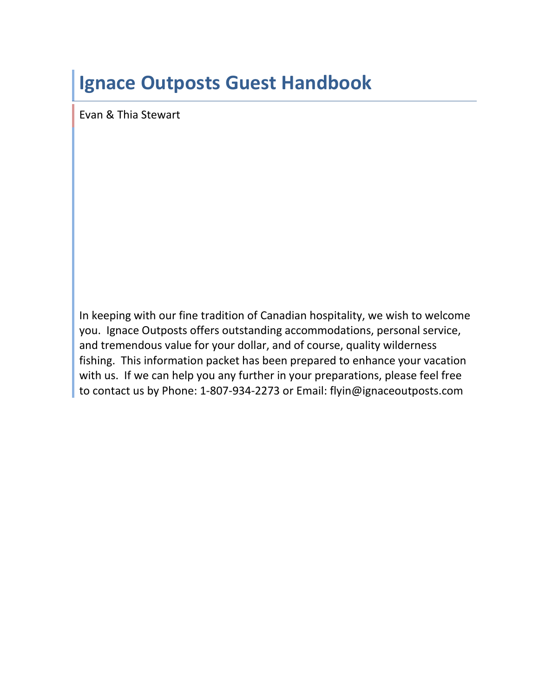# **Ignace Outposts Guest Handbook**

Evan & Thia Stewart

In keeping with our fine tradition of Canadian hospitality, we wish to welcome you. Ignace Outposts offers outstanding accommodations, personal service, and tremendous value for your dollar, and of course, quality wilderness fishing. This information packet has been prepared to enhance your vacation with us. If we can help you any further in your preparations, please feel free to contact us by Phone: 1-807-934-2273 or Email: flyin@ignaceoutposts.com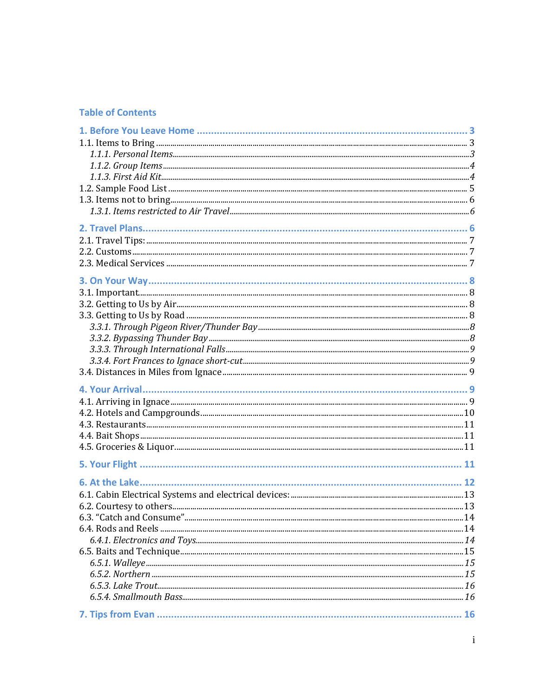#### **Table of Contents**

| 6.3. "Catch and Consume" |  |
|--------------------------|--|
|                          |  |
|                          |  |
|                          |  |
|                          |  |
|                          |  |
|                          |  |
|                          |  |
|                          |  |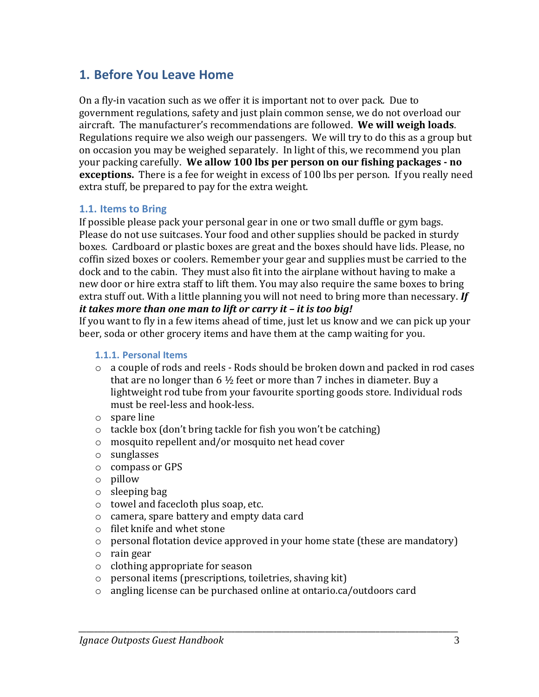### **1. Before You Leave Home**

On a fly-in vacation such as we offer it is important not to over pack. Due to government regulations, safety and just plain common sense, we do not overload our aircraft. The manufacturer's recommendations are followed. **We will weigh loads**. Regulations require we also weigh our passengers. We will try to do this as a group but on occasion you may be weighed separately. In light of this, we recommend you plan your packing carefully. **We allow 100 lbs per person on our fishing packages - no exceptions.** There is a fee for weight in excess of 100 lbs per person. If you really need extra stuff, be prepared to pay for the extra weight.

#### **1.1. Items to Bring**

If possible please pack your personal gear in one or two small duffle or gym bags. Please do not use suitcases. Your food and other supplies should be packed in sturdy boxes. Cardboard or plastic boxes are great and the boxes should have lids. Please, no coffin sized boxes or coolers. Remember your gear and supplies must be carried to the dock and to the cabin. They must also fit into the airplane without having to make a new door or hire extra staff to lift them. You may also require the same boxes to bring extra stuff out. With a little planning you will not need to bring more than necessary. *If it takes more than one man to lift or carry it – it is too big!*

If you want to fly in a few items ahead of time, just let us know and we can pick up your beer, soda or other grocery items and have them at the camp waiting for you.

#### **1.1.1. Personal Items**

- o a couple of rods and reels Rods should be broken down and packed in rod cases that are no longer than 6 ½ feet or more than 7 inches in diameter. Buy a lightweight rod tube from your favourite sporting goods store. Individual rods must be reel-less and hook-less.
- o spare line
- o tackle box (don't bring tackle for fish you won't be catching)
- o mosquito repellent and/or mosquito net head cover
- o sunglasses
- o compass or GPS
- o pillow
- o sleeping bag
- o towel and facecloth plus soap, etc.
- o camera, spare battery and empty data card
- o filet knife and whet stone
- o personal flotation device approved in your home state (these are mandatory)
- o rain gear
- o clothing appropriate for season
- o personal items (prescriptions, toiletries, shaving kit)
- o angling license can be purchased online at ontario.ca/outdoors card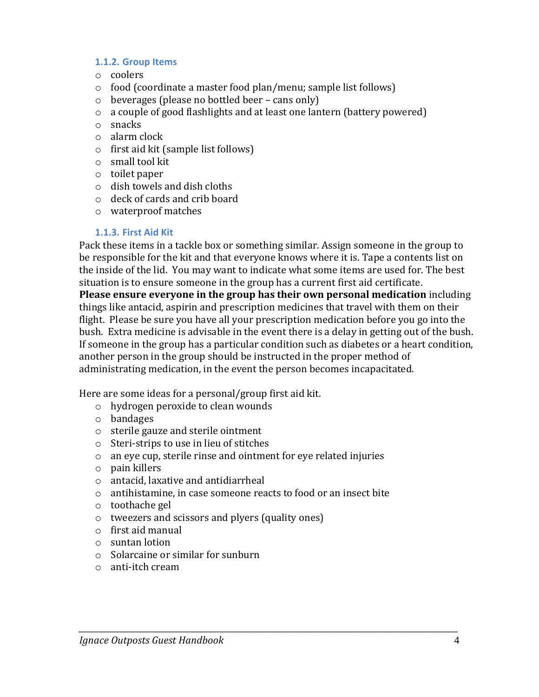#### **1.1.2. Group Items**

- o coolers
- o food (coordinate a master food plan/menu; sample list follows)
- o beverages (please no bottled beer cans only)
- o a couple of good flashlights and at least one lantern (battery powered)
- o snacks
- o alarm clock
- o first aid kit (sample list follows)
- o small tool kit
- o toilet paper
- o dish towels and dish cloths
- o deck of cards and crib board
- o waterproof matches

#### **1.1.3. First Aid Kit**

Pack these items in a tackle box or something similar. Assign someone in the group to be responsible for the kit and that everyone knows where it is. Tape a contents list on the inside of the lid. You may want to indicate what some items are used for. The best situation is to ensure someone in the group has a current first aid certificate.

**Please ensure everyone in the group has their own personal medication** including things like antacid, aspirin and prescription medicines that travel with them on their flight. Please be sure you have all your prescription medication before you go into the bush. Extra medicine is advisable in the event there is a delay in getting out of the bush. If someone in the group has a particular condition such as diabetes or a heart condition, another person in the group should be instructed in the proper method of administrating medication, in the event the person becomes incapacitated.

Here are some ideas for a personal/group first aid kit.

- o hydrogen peroxide to clean wounds
- o bandages
- o sterile gauze and sterile ointment
- o Steri-strips to use in lieu of stitches
- o an eye cup, sterile rinse and ointment for eye related injuries
- o pain killers
- o antacid, laxative and antidiarrheal
- o antihistamine, in case someone reacts to food or an insect bite

- o toothache gel
- o tweezers and scissors and plyers (quality ones)
- o first aid manual
- o suntan lotion
- o Solarcaine or similar for sunburn
- o anti-itch cream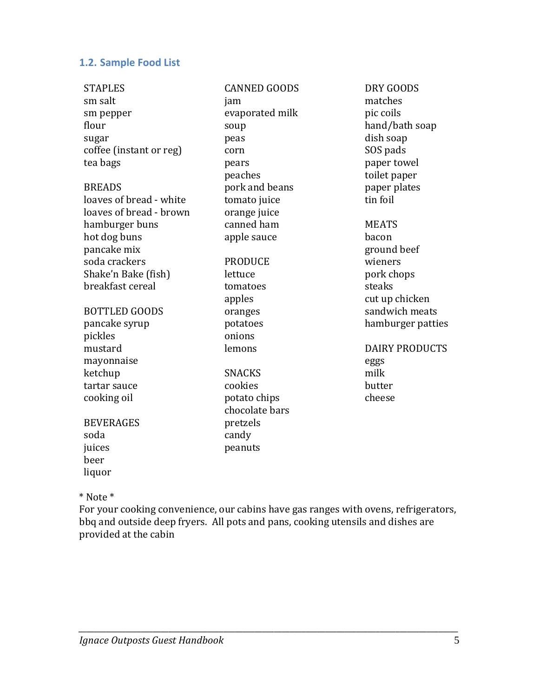#### **1.2. Sample Food List**

| <b>STAPLES</b>          | <b>CANNED GOODS</b> | DRY GOODS             |
|-------------------------|---------------------|-----------------------|
| sm salt                 | jam                 | matches               |
| sm pepper               | evaporated milk     | pic coils             |
| flour                   | soup                | hand/bath soap        |
| sugar                   | peas                | dish soap             |
| coffee (instant or reg) | corn                | SOS pads              |
| tea bags                | pears               | paper towel           |
|                         | peaches             | toilet paper          |
| <b>BREADS</b>           | pork and beans      | paper plates          |
| loaves of bread - white | tomato juice        | tin foil              |
| loaves of bread - brown | orange juice        |                       |
| hamburger buns          | canned ham          | <b>MEATS</b>          |
| hot dog buns            | apple sauce         | bacon                 |
| pancake mix             |                     | ground beef           |
| soda crackers           | <b>PRODUCE</b>      | wieners               |
| Shake'n Bake (fish)     | lettuce             | pork chops            |
| breakfast cereal        | tomatoes            | steaks                |
|                         | apples              | cut up chicken        |
| <b>BOTTLED GOODS</b>    | oranges             | sandwich meats        |
| pancake syrup           | potatoes            | hamburger patties     |
| pickles                 | onions              |                       |
| mustard                 | lemons              | <b>DAIRY PRODUCTS</b> |
| mayonnaise              |                     | eggs                  |
| ketchup                 | <b>SNACKS</b>       | milk                  |
| tartar sauce            | cookies             | butter                |
| cooking oil             | potato chips        | cheese                |
|                         | chocolate bars      |                       |
| <b>BEVERAGES</b>        | pretzels            |                       |
| soda                    | candy               |                       |
| juices                  | peanuts             |                       |
| beer                    |                     |                       |
| liquor                  |                     |                       |

\* Note \*

For your cooking convenience, our cabins have gas ranges with ovens, refrigerators, bbq and outside deep fryers. All pots and pans, cooking utensils and dishes are provided at the cabin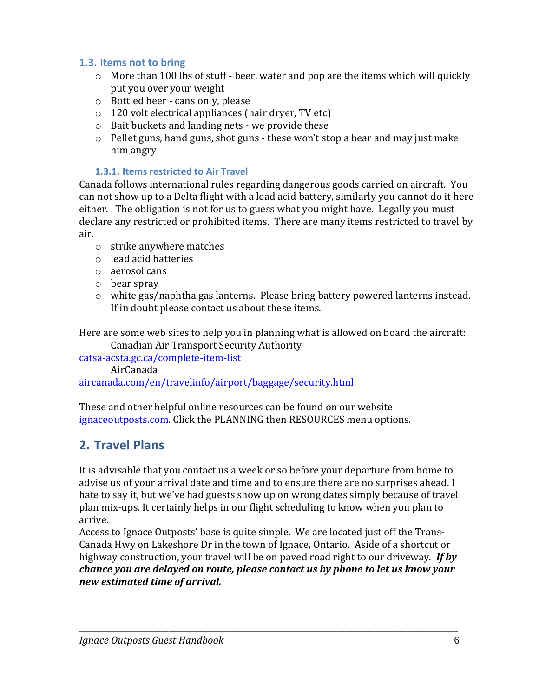#### **1.3. Items not to bring**

- $\circ$  More than 100 lbs of stuff beer, water and pop are the items which will quickly put you over your weight
- o Bottled beer cans only, please
- o 120 volt electrical appliances (hair dryer, TV etc)
- o Bait buckets and landing nets we provide these
- o Pellet guns, hand guns, shot guns these won't stop a bear and may just make him angry

#### **1.3.1. Items restricted to Air Travel**

Canada follows international rules regarding dangerous goods carried on aircraft. You can not show up to a Delta flight with a lead acid battery, similarly you cannot do it here either. The obligation is not for us to guess what you might have. Legally you must declare any restricted or prohibited items. There are many items restricted to travel by air.

- o strike anywhere matches
- o lead acid batteries
- o aerosol cans
- o bear spray
- o white gas/naphtha gas lanterns. Please bring battery powered lanterns instead. If in doubt please contact us about these items.

Here are some web sites to help you in planning what is allowed on board the aircraft: Canadian Air Transport Security Authority

[catsa-acsta.gc.ca/complete-item-list](http://www.catsa-acsta.gc.ca/complete-item-list)

AirCanada

[aircanada.com/en/travelinfo/airport/baggage/security.html](http://www.aircanada.com/en/travelinfo/airport/baggage/security.html)

These and other helpful online resources can be found on our website [ignaceoutposts.com.](http://www.ignaceoutposts.com/) Click the PLANNING then RESOURCES menu options.

# **2. Travel Plans**

It is advisable that you contact us a week or so before your departure from home to advise us of your arrival date and time and to ensure there are no surprises ahead. I hate to say it, but we've had guests show up on wrong dates simply because of travel plan mix-ups. It certainly helps in our flight scheduling to know when you plan to arrive.

Access to Ignace Outposts' base is quite simple. We are located just off the Trans-Canada Hwy on Lakeshore Dr in the town of Ignace, Ontario. Aside of a shortcut or highway construction, your travel will be on paved road right to our driveway.*If by chance you are delayed on route, please contact us by phone to let us know your new estimated time of arrival.*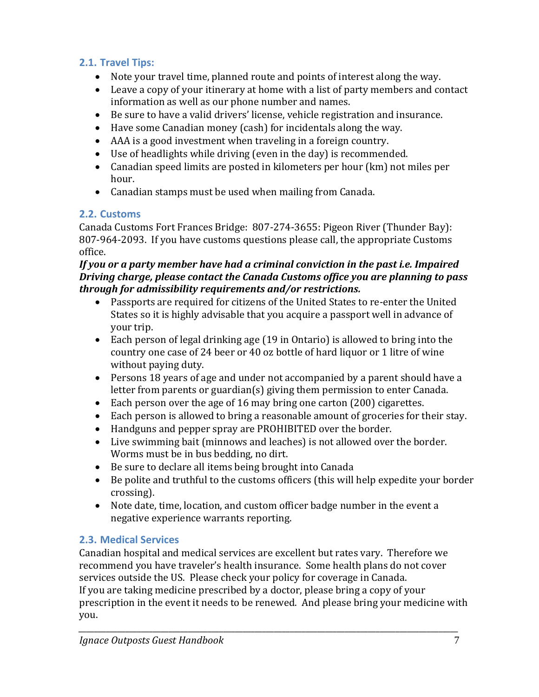### **2.1. Travel Tips:**

- Note your travel time, planned route and points of interest along the way.
- Leave a copy of your itinerary at home with a list of party members and contact information as well as our phone number and names.
- Be sure to have a valid drivers' license, vehicle registration and insurance.
- Have some Canadian money (cash) for incidentals along the way.
- AAA is a good investment when traveling in a foreign country.
- Use of headlights while driving (even in the day) is recommended.
- Canadian speed limits are posted in kilometers per hour (km) not miles per hour.
- Canadian stamps must be used when mailing from Canada.

### **2.2. Customs**

Canada Customs Fort Frances Bridge: 807-274-3655: Pigeon River (Thunder Bay): 807-964-2093. If you have customs questions please call, the appropriate Customs office.

#### *If you or a party member have had a criminal conviction in the past i.e. Impaired Driving charge, please contact the Canada Customs office you are planning to pass through for admissibility requirements and/or restrictions.*

- Passports are required for citizens of the United States to re-enter the United States so it is highly advisable that you acquire a passport well in advance of your trip.
- Each person of legal drinking age (19 in Ontario) is allowed to bring into the country one case of 24 beer or 40 oz bottle of hard liquor or 1 litre of wine without paying duty.
- Persons 18 years of age and under not accompanied by a parent should have a letter from parents or guardian(s) giving them permission to enter Canada.
- Each person over the age of 16 may bring one carton (200) cigarettes.
- Each person is allowed to bring a reasonable amount of groceries for their stay.
- Handguns and pepper spray are PROHIBITED over the border.
- Live swimming bait (minnows and leaches) is not allowed over the border. Worms must be in bus bedding, no dirt.
- Be sure to declare all items being brought into Canada
- Be polite and truthful to the customs officers (this will help expedite your border crossing).
- Note date, time, location, and custom officer badge number in the event a negative experience warrants reporting.

# **2.3. Medical Services**

Canadian hospital and medical services are excellent but rates vary. Therefore we recommend you have traveler's health insurance. Some health plans do not cover services outside the US. Please check your policy for coverage in Canada. If you are taking medicine prescribed by a doctor, please bring a copy of your prescription in the event it needs to be renewed. And please bring your medicine with you.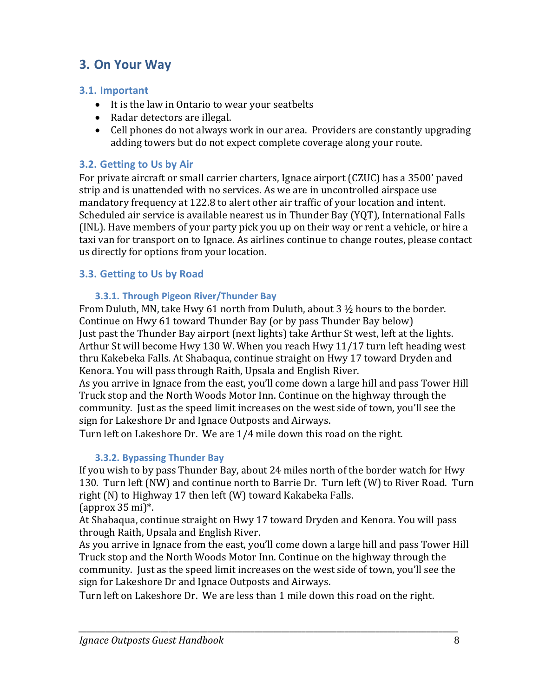# **3. On Your Way**

#### **3.1. Important**

- It is the law in Ontario to wear your seatbelts
- Radar detectors are illegal.
- Cell phones do not always work in our area. Providers are constantly upgrading adding towers but do not expect complete coverage along your route.

#### **3.2. Getting to Us by Air**

For private aircraft or small carrier charters, Ignace airport (CZUC) has a 3500' paved strip and is unattended with no services. As we are in uncontrolled airspace use mandatory frequency at 122.8 to alert other air traffic of your location and intent. Scheduled air service is available nearest us in Thunder Bay (YQT), International Falls (INL). Have members of your party pick you up on their way or rent a vehicle, or hire a taxi van for transport on to Ignace. As airlines continue to change routes, please contact us directly for options from your location.

#### **3.3. Getting to Us by Road**

#### **3.3.1. Through Pigeon River/Thunder Bay**

From Duluth, MN, take Hwy 61 north from Duluth, about  $3\frac{1}{2}$  hours to the border. Continue on Hwy 61 toward Thunder Bay (or by pass Thunder Bay below) Just past the Thunder Bay airport (next lights) take Arthur St west, left at the lights. Arthur St will become Hwy 130 W. When you reach Hwy 11/17 turn left heading west thru Kakebeka Falls. At Shabaqua, continue straight on Hwy 17 toward Dryden and Kenora. You will pass through Raith, Upsala and English River.

As you arrive in Ignace from the east, you'll come down a large hill and pass Tower Hill Truck stop and the North Woods Motor Inn. Continue on the highway through the community. Just as the speed limit increases on the west side of town, you'll see the sign for Lakeshore Dr and Ignace Outposts and Airways.

Turn left on Lakeshore Dr. We are 1/4 mile down this road on the right.

#### **3.3.2. Bypassing Thunder Bay**

If you wish to by pass Thunder Bay, about 24 miles north of the border watch for Hwy 130. Turn left (NW) and continue north to Barrie Dr. Turn left (W) to River Road. Turn right (N) to Highway 17 then left (W) toward Kakabeka Falls. (approx 35 mi)\*.

At Shabaqua, continue straight on Hwy 17 toward Dryden and Kenora. You will pass through Raith, Upsala and English River.

As you arrive in Ignace from the east, you'll come down a large hill and pass Tower Hill Truck stop and the North Woods Motor Inn. Continue on the highway through the community. Just as the speed limit increases on the west side of town, you'll see the sign for Lakeshore Dr and Ignace Outposts and Airways.

Turn left on Lakeshore Dr. We are less than 1 mile down this road on the right.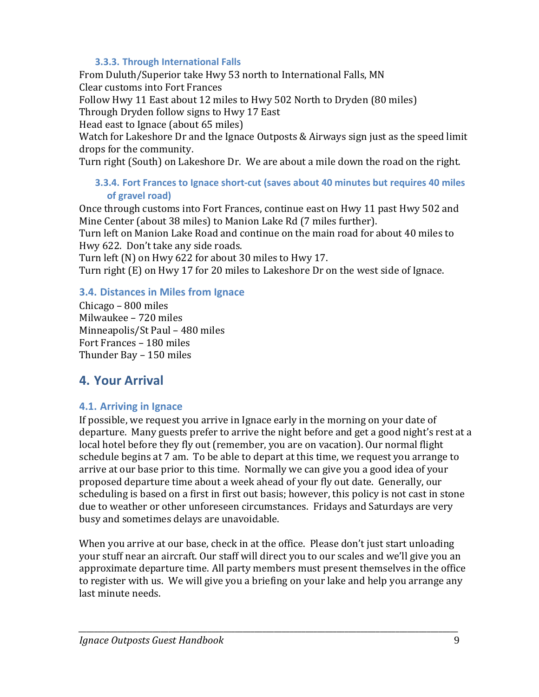#### **3.3.3. Through International Falls**

From Duluth/Superior take Hwy 53 north to International Falls, MN Clear customs into Fort Frances

Follow Hwy 11 East about 12 miles to Hwy 502 North to Dryden (80 miles)

Through Dryden follow signs to Hwy 17 East

Head east to Ignace (about 65 miles)

Watch for Lakeshore Dr and the Ignace Outposts & Airways sign just as the speed limit drops for the community.

Turn right (South) on Lakeshore Dr. We are about a mile down the road on the right.

#### **3.3.4. Fort Frances to Ignace short-cut (saves about 40 minutes but requires 40 miles of gravel road)**

Once through customs into Fort Frances, continue east on Hwy 11 past Hwy 502 and Mine Center (about 38 miles) to Manion Lake Rd (7 miles further).

Turn left on Manion Lake Road and continue on the main road for about 40 miles to Hwy 622. Don't take any side roads.

Turn left (N) on Hwy 622 for about 30 miles to Hwy 17.

Turn right (E) on Hwy 17 for 20 miles to Lakeshore Dr on the west side of Ignace.

#### **3.4. Distances in Miles from Ignace**

Chicago – 800 miles Milwaukee – 720 miles Minneapolis/St Paul – 480 miles Fort Frances – 180 miles Thunder Bay – 150 miles

# **4. Your Arrival**

### **4.1. Arriving in Ignace**

If possible, we request you arrive in Ignace early in the morning on your date of departure. Many guests prefer to arrive the night before and get a good night's rest at a local hotel before they fly out (remember, you are on vacation). Our normal flight schedule begins at 7 am. To be able to depart at this time, we request you arrange to arrive at our base prior to this time. Normally we can give you a good idea of your proposed departure time about a week ahead of your fly out date. Generally, our scheduling is based on a first in first out basis; however, this policy is not cast in stone due to weather or other unforeseen circumstances. Fridays and Saturdays are very busy and sometimes delays are unavoidable.

When you arrive at our base, check in at the office. Please don't just start unloading your stuff near an aircraft. Our staff will direct you to our scales and we'll give you an approximate departure time. All party members must present themselves in the office to register with us. We will give you a briefing on your lake and help you arrange any last minute needs.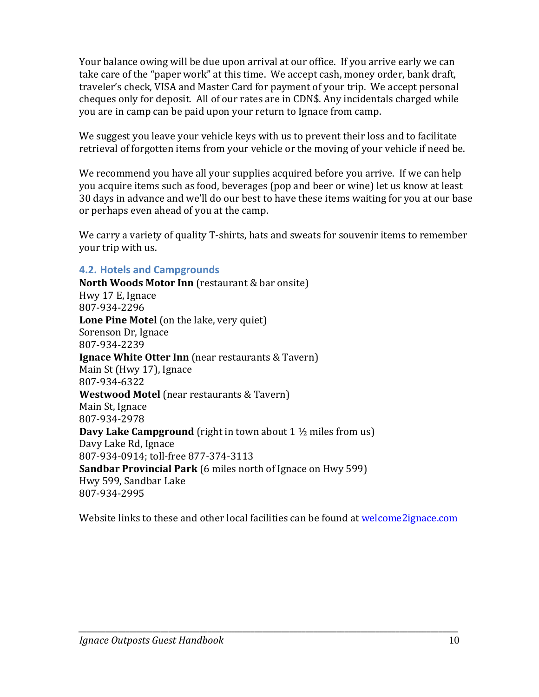Your balance owing will be due upon arrival at our office. If you arrive early we can take care of the "paper work" at this time. We accept cash, money order, bank draft, traveler's check, VISA and Master Card for payment of your trip. We accept personal cheques only for deposit. All of our rates are in CDN\$. Any incidentals charged while you are in camp can be paid upon your return to Ignace from camp.

We suggest you leave your vehicle keys with us to prevent their loss and to facilitate retrieval of forgotten items from your vehicle or the moving of your vehicle if need be.

We recommend you have all your supplies acquired before you arrive. If we can help you acquire items such as food, beverages (pop and beer or wine) let us know at least 30 days in advance and we'll do our best to have these items waiting for you at our base or perhaps even ahead of you at the camp.

We carry a variety of quality T-shirts, hats and sweats for souvenir items to remember your trip with us.

#### **4.2. Hotels and Campgrounds**

**North Woods Motor Inn** (restaurant & bar onsite) Hwy 17 E, Ignace 807-934-2296 **Lone Pine Motel** (on the lake, very quiet) Sorenson Dr, Ignace 807-934-2239 **Ignace White Otter Inn** (near restaurants & Tavern) Main St (Hwy 17), Ignace 807-934-6322 **Westwood Motel** (near restaurants & Tavern) Main St, Ignace 807-934-2978 **Davy Lake Campground** (right in town about 1 ½ miles from us) Davy Lake Rd, Ignace 807-934-0914; toll-free 877-374-3113 **Sandbar Provincial Park** (6 miles north of Ignace on Hwy 599) Hwy 599, Sandbar Lake 807-934-2995

Website links to these and other local facilities can be found a[t welcome2ignace.com](https://welcome2ignace.com/)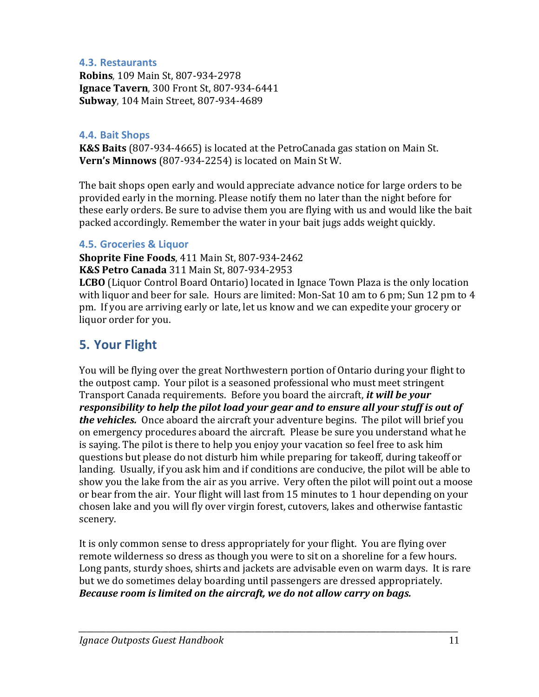#### **4.3. Restaurants**

**Robins**, 109 Main St, 807-934-2978 **Ignace Tavern**, 300 Front St, 807-934-6441 **Subway**, 104 Main Street, 807-934-4689

#### **4.4. Bait Shops**

**K&S Baits** (807-934-4665) is located at the PetroCanada gas station on Main St. **Vern's Minnows** (807-934-2254) is located on Main St W.

The bait shops open early and would appreciate advance notice for large orders to be provided early in the morning. Please notify them no later than the night before for these early orders. Be sure to advise them you are flying with us and would like the bait packed accordingly. Remember the water in your bait jugs adds weight quickly.

#### **4.5. Groceries & Liquor**

**Shoprite Fine Foods**, 411 Main St, 807-934-2462 **K&S Petro Canada** 311 Main St, 807-934-2953

**LCBO** (Liquor Control Board Ontario) located in Ignace Town Plaza is the only location with liquor and beer for sale. Hours are limited: Mon-Sat 10 am to 6 pm; Sun 12 pm to 4 pm. If you are arriving early or late, let us know and we can expedite your grocery or liquor order for you.

### **5. Your Flight**

You will be flying over the great Northwestern portion of Ontario during your flight to the outpost camp. Your pilot is a seasoned professional who must meet stringent Transport Canada requirements. Before you board the aircraft, *it will be your responsibility to help the pilot load your gear and to ensure all your stuff is out of the vehicles.* Once aboard the aircraft your adventure begins. The pilot will brief you on emergency procedures aboard the aircraft. Please be sure you understand what he is saying. The pilot is there to help you enjoy your vacation so feel free to ask him questions but please do not disturb him while preparing for takeoff, during takeoff or landing. Usually, if you ask him and if conditions are conducive, the pilot will be able to show you the lake from the air as you arrive. Very often the pilot will point out a moose or bear from the air. Your flight will last from 15 minutes to 1 hour depending on your chosen lake and you will fly over virgin forest, cutovers, lakes and otherwise fantastic scenery.

It is only common sense to dress appropriately for your flight. You are flying over remote wilderness so dress as though you were to sit on a shoreline for a few hours. Long pants, sturdy shoes, shirts and jackets are advisable even on warm days. It is rare but we do sometimes delay boarding until passengers are dressed appropriately. *Because room is limited on the aircraft, we do not allow carry on bags.*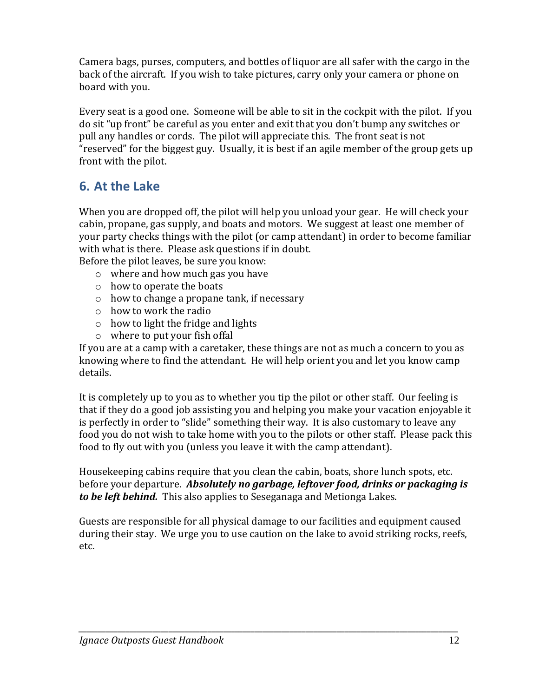Camera bags, purses, computers, and bottles of liquor are all safer with the cargo in the back of the aircraft. If you wish to take pictures, carry only your camera or phone on board with you.

Every seat is a good one. Someone will be able to sit in the cockpit with the pilot. If you do sit "up front" be careful as you enter and exit that you don't bump any switches or pull any handles or cords. The pilot will appreciate this. The front seat is not "reserved" for the biggest guy. Usually, it is best if an agile member of the group gets up front with the pilot.

# **6. At the Lake**

When you are dropped off, the pilot will help you unload your gear. He will check your cabin, propane, gas supply, and boats and motors. We suggest at least one member of your party checks things with the pilot (or camp attendant) in order to become familiar with what is there. Please ask questions if in doubt.

Before the pilot leaves, be sure you know:

- o where and how much gas you have
- o how to operate the boats
- o how to change a propane tank, if necessary
- o how to work the radio
- o how to light the fridge and lights
- o where to put your fish offal

If you are at a camp with a caretaker, these things are not as much a concern to you as knowing where to find the attendant. He will help orient you and let you know camp details.

It is completely up to you as to whether you tip the pilot or other staff. Our feeling is that if they do a good job assisting you and helping you make your vacation enjoyable it is perfectly in order to "slide" something their way. It is also customary to leave any food you do not wish to take home with you to the pilots or other staff. Please pack this food to fly out with you (unless you leave it with the camp attendant).

Housekeeping cabins require that you clean the cabin, boats, shore lunch spots, etc. before your departure. *Absolutely no garbage, leftover food, drinks or packaging is to be left behind.* This also applies to Seseganaga and Metionga Lakes.

Guests are responsible for all physical damage to our facilities and equipment caused during their stay. We urge you to use caution on the lake to avoid striking rocks, reefs, etc.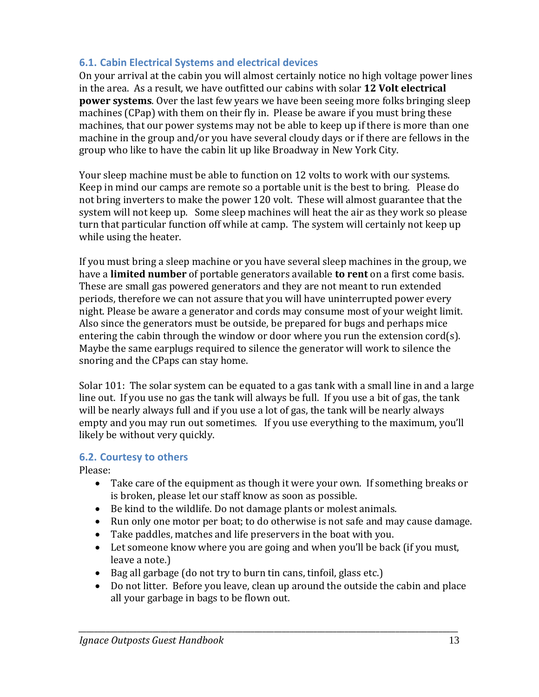#### **6.1. Cabin Electrical Systems and electrical devices**

On your arrival at the cabin you will almost certainly notice no high voltage power lines in the area. As a result, we have outfitted our cabins with solar **12 Volt electrical power systems**. Over the last few years we have been seeing more folks bringing sleep machines (CPap) with them on their fly in. Please be aware if you must bring these machines, that our power systems may not be able to keep up if there is more than one machine in the group and/or you have several cloudy days or if there are fellows in the group who like to have the cabin lit up like Broadway in New York City.

Your sleep machine must be able to function on 12 volts to work with our systems. Keep in mind our camps are remote so a portable unit is the best to bring. Please do not bring inverters to make the power 120 volt. These will almost guarantee that the system will not keep up. Some sleep machines will heat the air as they work so please turn that particular function off while at camp. The system will certainly not keep up while using the heater.

If you must bring a sleep machine or you have several sleep machines in the group, we have a **limited number** of portable generators available **to rent** on a first come basis. These are small gas powered generators and they are not meant to run extended periods, therefore we can not assure that you will have uninterrupted power every night. Please be aware a generator and cords may consume most of your weight limit. Also since the generators must be outside, be prepared for bugs and perhaps mice entering the cabin through the window or door where you run the extension cord(s). Maybe the same earplugs required to silence the generator will work to silence the snoring and the CPaps can stay home.

Solar 101: The solar system can be equated to a gas tank with a small line in and a large line out. If you use no gas the tank will always be full. If you use a bit of gas, the tank will be nearly always full and if you use a lot of gas, the tank will be nearly always empty and you may run out sometimes. If you use everything to the maximum, you'll likely be without very quickly.

#### **6.2. Courtesy to others**

Please:

- Take care of the equipment as though it were your own. If something breaks or is broken, please let our staff know as soon as possible.
- Be kind to the wildlife. Do not damage plants or molest animals.
- Run only one motor per boat; to do otherwise is not safe and may cause damage.
- Take paddles, matches and life preservers in the boat with you.
- Let someone know where you are going and when you'll be back (if you must, leave a note.)
- Bag all garbage (do not try to burn tin cans, tinfoil, glass etc.)
- Do not litter. Before you leave, clean up around the outside the cabin and place all your garbage in bags to be flown out.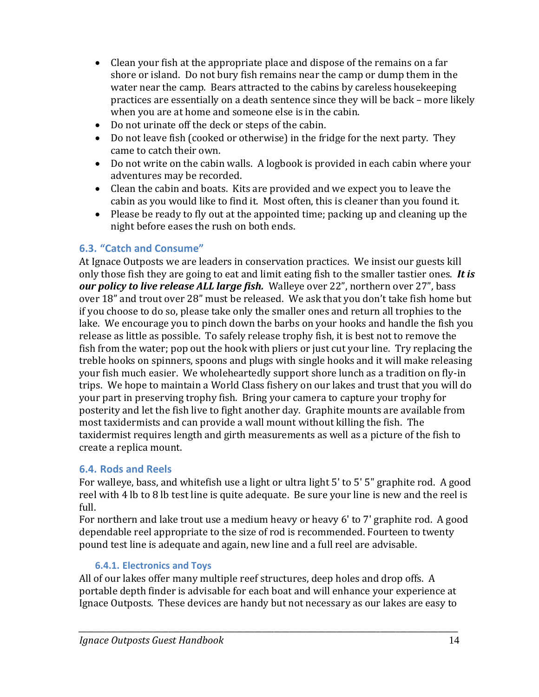- Clean your fish at the appropriate place and dispose of the remains on a far shore or island. Do not bury fish remains near the camp or dump them in the water near the camp. Bears attracted to the cabins by careless housekeeping practices are essentially on a death sentence since they will be back – more likely when you are at home and someone else is in the cabin.
- Do not urinate off the deck or steps of the cabin.
- Do not leave fish (cooked or otherwise) in the fridge for the next party. They came to catch their own.
- Do not write on the cabin walls. A logbook is provided in each cabin where your adventures may be recorded.
- Clean the cabin and boats. Kits are provided and we expect you to leave the cabin as you would like to find it. Most often, this is cleaner than you found it.
- Please be ready to fly out at the appointed time; packing up and cleaning up the night before eases the rush on both ends.

#### **6.3. "Catch and Consume"**

At Ignace Outposts we are leaders in conservation practices. We insist our guests kill only those fish they are going to eat and limit eating fish to the smaller tastier ones. *It is our policy to live release ALL large fish.* Walleye over 22", northern over 27", bass over 18" and trout over 28" must be released. We ask that you don't take fish home but if you choose to do so, please take only the smaller ones and return all trophies to the lake. We encourage you to pinch down the barbs on your hooks and handle the fish you release as little as possible. To safely release trophy fish, it is best not to remove the fish from the water; pop out the hook with pliers or just cut your line. Try replacing the treble hooks on spinners, spoons and plugs with single hooks and it will make releasing your fish much easier. We wholeheartedly support shore lunch as a tradition on fly-in trips. We hope to maintain a World Class fishery on our lakes and trust that you will do your part in preserving trophy fish. Bring your camera to capture your trophy for posterity and let the fish live to fight another day. Graphite mounts are available from most taxidermists and can provide a wall mount without killing the fish. The taxidermist requires length and girth measurements as well as a picture of the fish to create a replica mount.

#### **6.4. Rods and Reels**

For walleye, bass, and whitefish use a light or ultra light 5' to 5' 5" graphite rod. A good reel with 4 lb to 8 lb test line is quite adequate. Be sure your line is new and the reel is full.

For northern and lake trout use a medium heavy or heavy 6' to 7' graphite rod. A good dependable reel appropriate to the size of rod is recommended. Fourteen to twenty pound test line is adequate and again, new line and a full reel are advisable.

#### **6.4.1. Electronics and Toys**

All of our lakes offer many multiple reef structures, deep holes and drop offs. A portable depth finder is advisable for each boat and will enhance your experience at Ignace Outposts. These devices are handy but not necessary as our lakes are easy to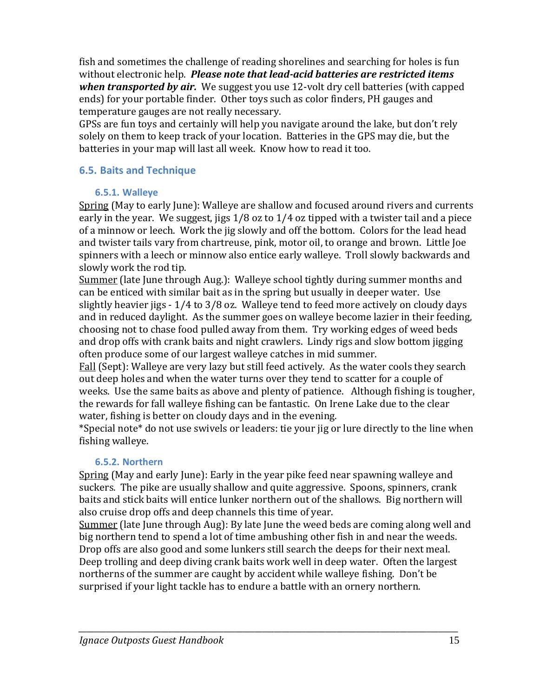fish and sometimes the challenge of reading shorelines and searching for holes is fun without electronic help. *Please note that lead-acid batteries are restricted items when transported by air.* We suggest you use 12-volt dry cell batteries (with capped ends) for your portable finder. Other toys such as color finders, PH gauges and temperature gauges are not really necessary.

GPSs are fun toys and certainly will help you navigate around the lake, but don't rely solely on them to keep track of your location. Batteries in the GPS may die, but the batteries in your map will last all week. Know how to read it too.

#### **6.5. Baits and Technique**

#### **6.5.1. Walleye**

Spring (May to early June): Walleye are shallow and focused around rivers and currents early in the year. We suggest, jigs 1/8 oz to 1/4 oz tipped with a twister tail and a piece of a minnow or leech. Work the jig slowly and off the bottom. Colors for the lead head and twister tails vary from chartreuse, pink, motor oil, to orange and brown. Little Joe spinners with a leech or minnow also entice early walleye. Troll slowly backwards and slowly work the rod tip.

Summer (late June through Aug.): Walleye school tightly during summer months and can be enticed with similar bait as in the spring but usually in deeper water. Use slightly heavier jigs - 1/4 to 3/8 oz. Walleye tend to feed more actively on cloudy days and in reduced daylight. As the summer goes on walleye become lazier in their feeding, choosing not to chase food pulled away from them. Try working edges of weed beds and drop offs with crank baits and night crawlers. Lindy rigs and slow bottom jigging often produce some of our largest walleye catches in mid summer.

Fall (Sept): Walleye are very lazy but still feed actively. As the water cools they search out deep holes and when the water turns over they tend to scatter for a couple of weeks. Use the same baits as above and plenty of patience. Although fishing is tougher, the rewards for fall walleye fishing can be fantastic. On Irene Lake due to the clear water, fishing is better on cloudy days and in the evening.

\*Special note\* do not use swivels or leaders: tie your jig or lure directly to the line when fishing walleye.

#### **6.5.2. Northern**

Spring (May and early June): Early in the year pike feed near spawning walleye and suckers. The pike are usually shallow and quite aggressive. Spoons, spinners, crank baits and stick baits will entice lunker northern out of the shallows. Big northern will also cruise drop offs and deep channels this time of year.

Summer (late June through Aug): By late June the weed beds are coming along well and big northern tend to spend a lot of time ambushing other fish in and near the weeds. Drop offs are also good and some lunkers still search the deeps for their next meal. Deep trolling and deep diving crank baits work well in deep water. Often the largest northerns of the summer are caught by accident while walleye fishing. Don't be surprised if your light tackle has to endure a battle with an ornery northern.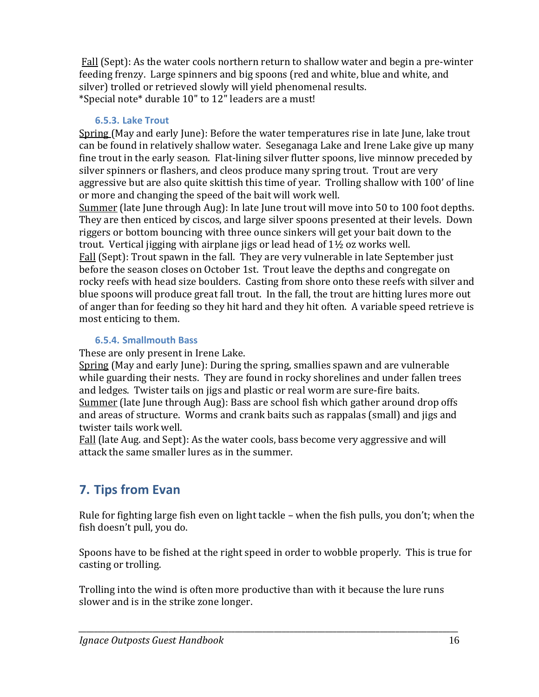Fall (Sept): As the water cools northern return to shallow water and begin a pre-winter feeding frenzy. Large spinners and big spoons (red and white, blue and white, and silver) trolled or retrieved slowly will yield phenomenal results. \*Special note\* durable 10" to 12" leaders are a must!

#### **6.5.3. Lake Trout**

Spring (May and early June): Before the water temperatures rise in late June, lake trout can be found in relatively shallow water. Seseganaga Lake and Irene Lake give up many fine trout in the early season. Flat-lining silver flutter spoons, live minnow preceded by silver spinners or flashers, and cleos produce many spring trout. Trout are very aggressive but are also quite skittish this time of year. Trolling shallow with 100' of line or more and changing the speed of the bait will work well.

Summer (late June through Aug): In late June trout will move into 50 to 100 foot depths. They are then enticed by ciscos, and large silver spoons presented at their levels. Down riggers or bottom bouncing with three ounce sinkers will get your bait down to the trout. Vertical jigging with airplane jigs or lead head of  $1\frac{1}{2}$  oz works well.

Fall (Sept): Trout spawn in the fall. They are very vulnerable in late September just before the season closes on October 1st. Trout leave the depths and congregate on rocky reefs with head size boulders. Casting from shore onto these reefs with silver and blue spoons will produce great fall trout. In the fall, the trout are hitting lures more out of anger than for feeding so they hit hard and they hit often. A variable speed retrieve is most enticing to them.

#### **6.5.4. Smallmouth Bass**

These are only present in Irene Lake.

Spring (May and early June): During the spring, smallies spawn and are vulnerable while guarding their nests. They are found in rocky shorelines and under fallen trees and ledges. Twister tails on jigs and plastic or real worm are sure-fire baits. Summer (late June through Aug): Bass are school fish which gather around drop offs and areas of structure. Worms and crank baits such as rappalas (small) and jigs and twister tails work well.

Fall (late Aug. and Sept): As the water cools, bass become very aggressive and will attack the same smaller lures as in the summer.

# **7. Tips from Evan**

Rule for fighting large fish even on light tackle – when the fish pulls, you don't; when the fish doesn't pull, you do.

Spoons have to be fished at the right speed in order to wobble properly. This is true for casting or trolling.

Trolling into the wind is often more productive than with it because the lure runs slower and is in the strike zone longer.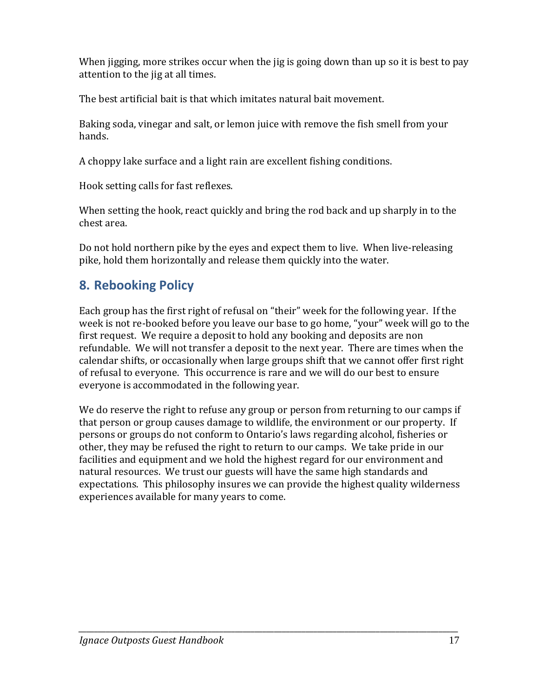When jigging, more strikes occur when the jig is going down than up so it is best to pay attention to the jig at all times.

The best artificial bait is that which imitates natural bait movement.

Baking soda, vinegar and salt, or lemon juice with remove the fish smell from your hands.

A choppy lake surface and a light rain are excellent fishing conditions.

Hook setting calls for fast reflexes.

When setting the hook, react quickly and bring the rod back and up sharply in to the chest area.

Do not hold northern pike by the eyes and expect them to live. When live-releasing pike, hold them horizontally and release them quickly into the water.

# **8. Rebooking Policy**

Each group has the first right of refusal on "their" week for the following year. If the week is not re-booked before you leave our base to go home, "your" week will go to the first request. We require a deposit to hold any booking and deposits are non refundable. We will not transfer a deposit to the next year. There are times when the calendar shifts, or occasionally when large groups shift that we cannot offer first right of refusal to everyone. This occurrence is rare and we will do our best to ensure everyone is accommodated in the following year.

We do reserve the right to refuse any group or person from returning to our camps if that person or group causes damage to wildlife, the environment or our property. If persons or groups do not conform to Ontario's laws regarding alcohol, fisheries or other, they may be refused the right to return to our camps. We take pride in our facilities and equipment and we hold the highest regard for our environment and natural resources. We trust our guests will have the same high standards and expectations. This philosophy insures we can provide the highest quality wilderness experiences available for many years to come.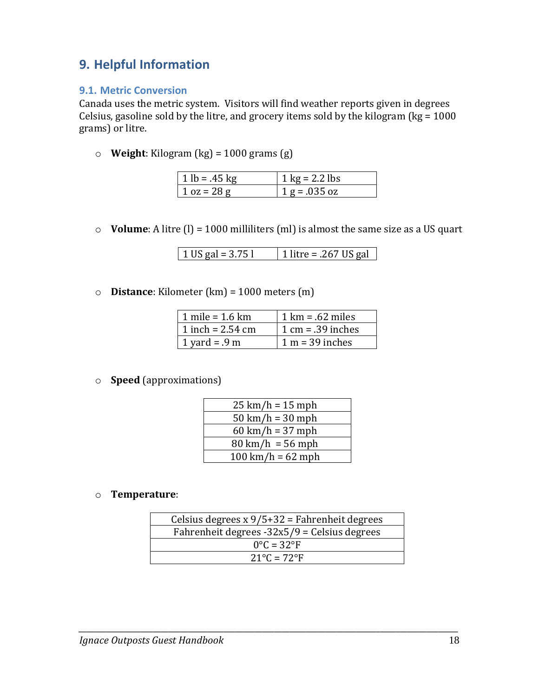# **9. Helpful Information**

#### **9.1. Metric Conversion**

Canada uses the metric system. Visitors will find weather reports given in degrees Celsius, gasoline sold by the litre, and grocery items sold by the kilogram ( $kg = 1000$ grams) or litre.

o **Weight**: Kilogram (kg) = 1000 grams (g)

| $1 lb = .45 kg$ | $1 \text{ kg} = 2.2 \text{ lbs}$ |
|-----------------|----------------------------------|
| $1 oz = 28 g$   | $1 g = .035 oz$                  |

o **Volume**: A litre (l) = 1000 milliliters (ml) is almost the same size as a US quart

| 1 US gal = $3.75$ l | 1 litre = .267 US gal |
|---------------------|-----------------------|
|---------------------|-----------------------|

o **Distance**: Kilometer (km) = 1000 meters (m)

| $\vert$ 1 mile = 1.6 km | $1 \text{ km} = .62 \text{ miles}$  |
|-------------------------|-------------------------------------|
| 1 inch = 2.54 cm        | $1 \text{ cm} = .39 \text{ inches}$ |
| 1 yard = .9 m           | $1 m = 39$ inches                   |

o **Speed** (approximations)

| $25 \text{ km/h} = 15 \text{ mph}$  |
|-------------------------------------|
| $50 \text{ km/h} = 30 \text{ mph}$  |
| $60 \text{ km/h} = 37 \text{ mph}$  |
| $80 \text{ km/h} = 56 \text{ mph}$  |
| $100 \text{ km/h} = 62 \text{ mph}$ |

#### o **Temperature**:

| Celsius degrees $x 9/5+32$ = Fahrenheit degrees |  |
|-------------------------------------------------|--|
| Fahrenheit degrees $-32x5/9$ = Celsius degrees  |  |
| $0^{\circ}$ C = 32 $^{\circ}$ F                 |  |
| $21^{\circ}$ C = 72°F                           |  |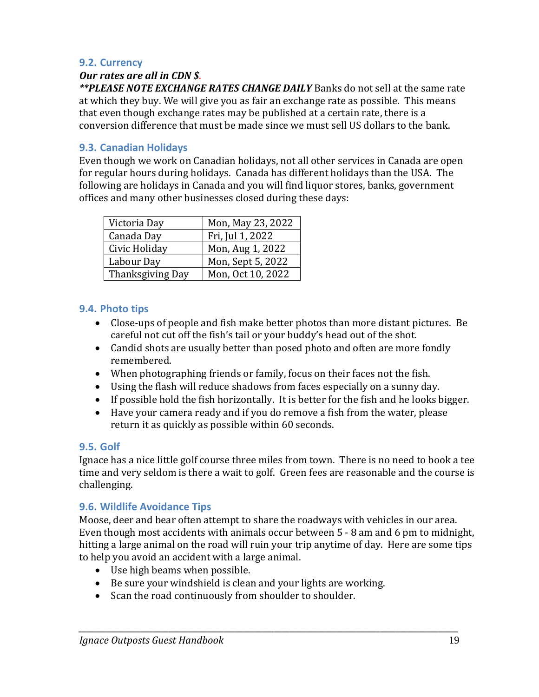#### **9.2. Currency**

#### *Our rates are all in CDN \$*.

*\*\*PLEASE NOTE EXCHANGE RATES CHANGE DAILY* Banks do not sell at the same rate at which they buy. We will give you as fair an exchange rate as possible. This means that even though exchange rates may be published at a certain rate, there is a conversion difference that must be made since we must sell US dollars to the bank.

#### **9.3. Canadian Holidays**

Even though we work on Canadian holidays, not all other services in Canada are open for regular hours during holidays. Canada has different holidays than the USA. The following are holidays in Canada and you will find liquor stores, banks, government offices and many other businesses closed during these days:

| Victoria Day     | Mon, May 23, 2022 |
|------------------|-------------------|
| Canada Day       | Fri, Jul 1, 2022  |
| Civic Holiday    | Mon, Aug 1, 2022  |
| Labour Day       | Mon, Sept 5, 2022 |
| Thanksgiving Day | Mon, Oct 10, 2022 |

#### **9.4. Photo tips**

- Close-ups of people and fish make better photos than more distant pictures. Be careful not cut off the fish's tail or your buddy's head out of the shot.
- Candid shots are usually better than posed photo and often are more fondly remembered.
- When photographing friends or family, focus on their faces not the fish.
- Using the flash will reduce shadows from faces especially on a sunny day.
- If possible hold the fish horizontally. It is better for the fish and he looks bigger.
- Have your camera ready and if you do remove a fish from the water, please return it as quickly as possible within 60 seconds.

#### **9.5. Golf**

Ignace has a nice little golf course three miles from town. There is no need to book a tee time and very seldom is there a wait to golf. Green fees are reasonable and the course is challenging.

#### **9.6. Wildlife Avoidance Tips**

Moose, deer and bear often attempt to share the roadways with vehicles in our area. Even though most accidents with animals occur between 5 - 8 am and 6 pm to midnight, hitting a large animal on the road will ruin your trip anytime of day. Here are some tips to help you avoid an accident with a large animal.

- Use high beams when possible.
- Be sure your windshield is clean and your lights are working.
- Scan the road continuously from shoulder to shoulder.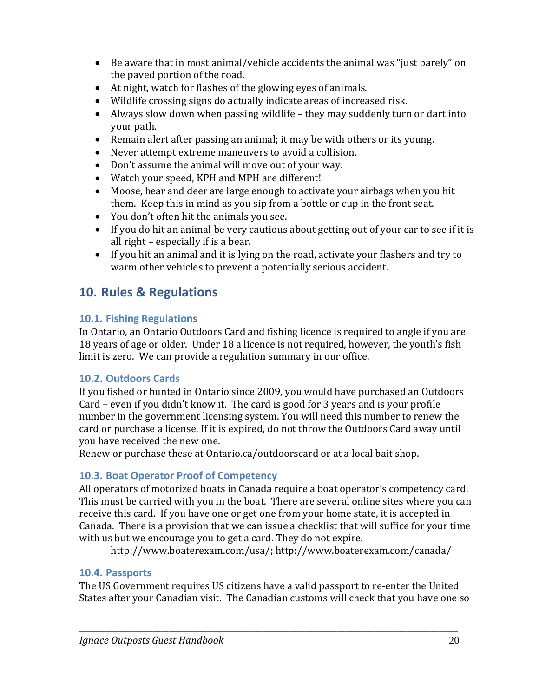- Be aware that in most animal/vehicle accidents the animal was "just barely" on the paved portion of the road.
- At night, watch for flashes of the glowing eyes of animals.
- Wildlife crossing signs do actually indicate areas of increased risk.
- Always slow down when passing wildlife they may suddenly turn or dart into your path.
- Remain alert after passing an animal; it may be with others or its young.
- Never attempt extreme maneuvers to avoid a collision.
- Don't assume the animal will move out of your way.
- Watch your speed, KPH and MPH are different!
- Moose, bear and deer are large enough to activate your airbags when you hit them. Keep this in mind as you sip from a bottle or cup in the front seat.
- You don't often hit the animals you see.
- If you do hit an animal be very cautious about getting out of your car to see if it is all right – especially if is a bear.
- If you hit an animal and it is lying on the road, activate your flashers and try to warm other vehicles to prevent a potentially serious accident.

# **10. Rules & Regulations**

### **10.1. Fishing Regulations**

In Ontario, an Ontario Outdoors Card and fishing licence is required to angle if you are 18 years of age or older. Under 18 a licence is not required, however, the youth's fish limit is zero. We can provide a regulation summary in our office.

#### **10.2. Outdoors Cards**

If you fished or hunted in Ontario since 2009, you would have purchased an Outdoors Card – even if you didn't know it. The card is good for 3 years and is your profile number in the government licensing system. You will need this number to renew the card or purchase a license. If it is expired, do not throw the Outdoors Card away until you have received the new one.

Renew or purchase these at Ontario.ca/outdoorscard or at a local bait shop.

### **10.3. Boat Operator Proof of Competency**

All operators of motorized boats in Canada require a boat operator's competency card. This must be carried with you in the boat. There are several online sites where you can receive this card. If you have one or get one from your home state, it is accepted in Canada. There is a provision that we can issue a checklist that will suffice for your time with us but we encourage you to get a card. They do not expire.

[http://www.boaterexam.com/usa/;](http://www.boaterexam.com/usa/)<http://www.boaterexam.com/canada/>

### **10.4. Passports**

The US Government requires US citizens have a valid passport to re-enter the United States after your Canadian visit. The Canadian customs will check that you have one so